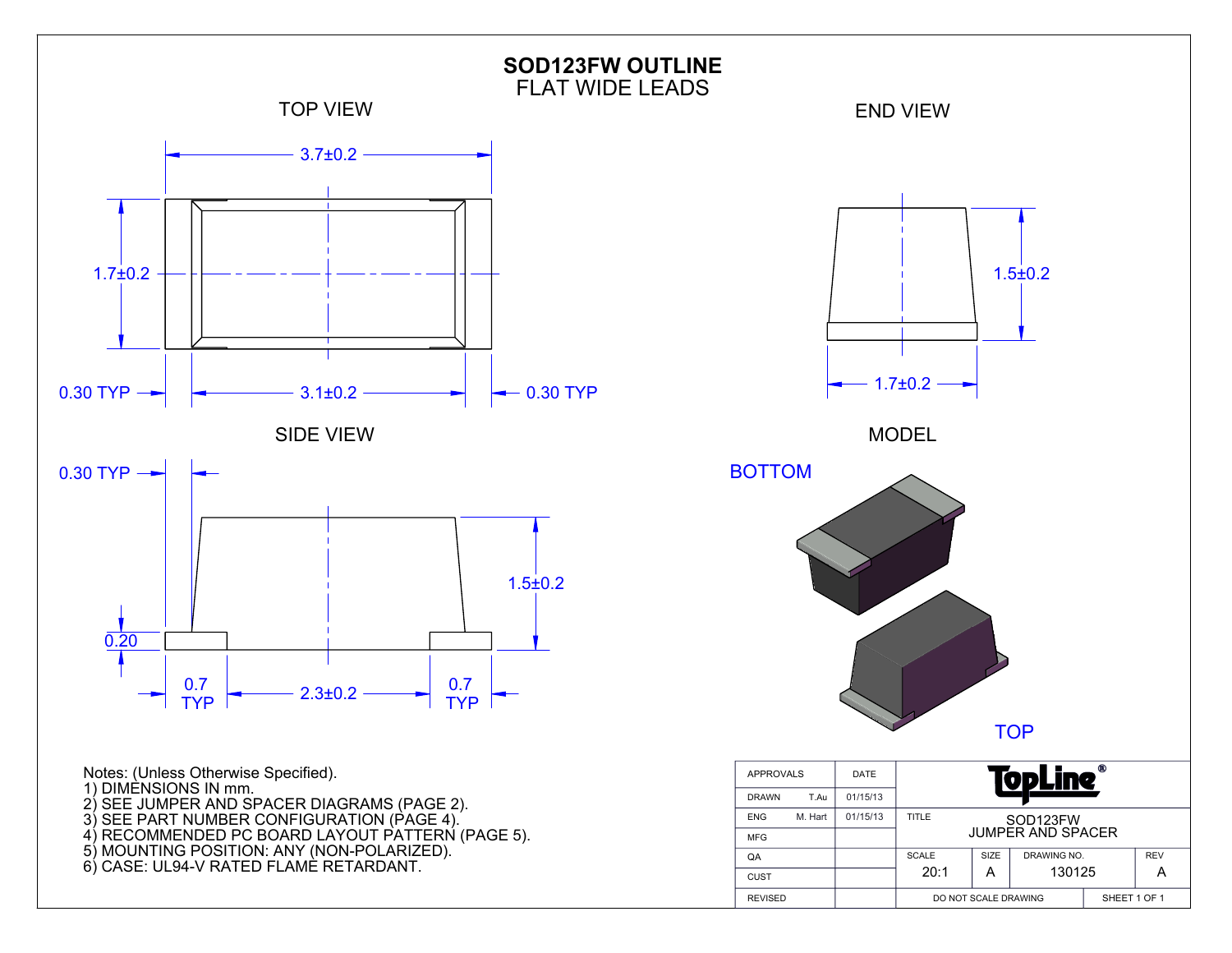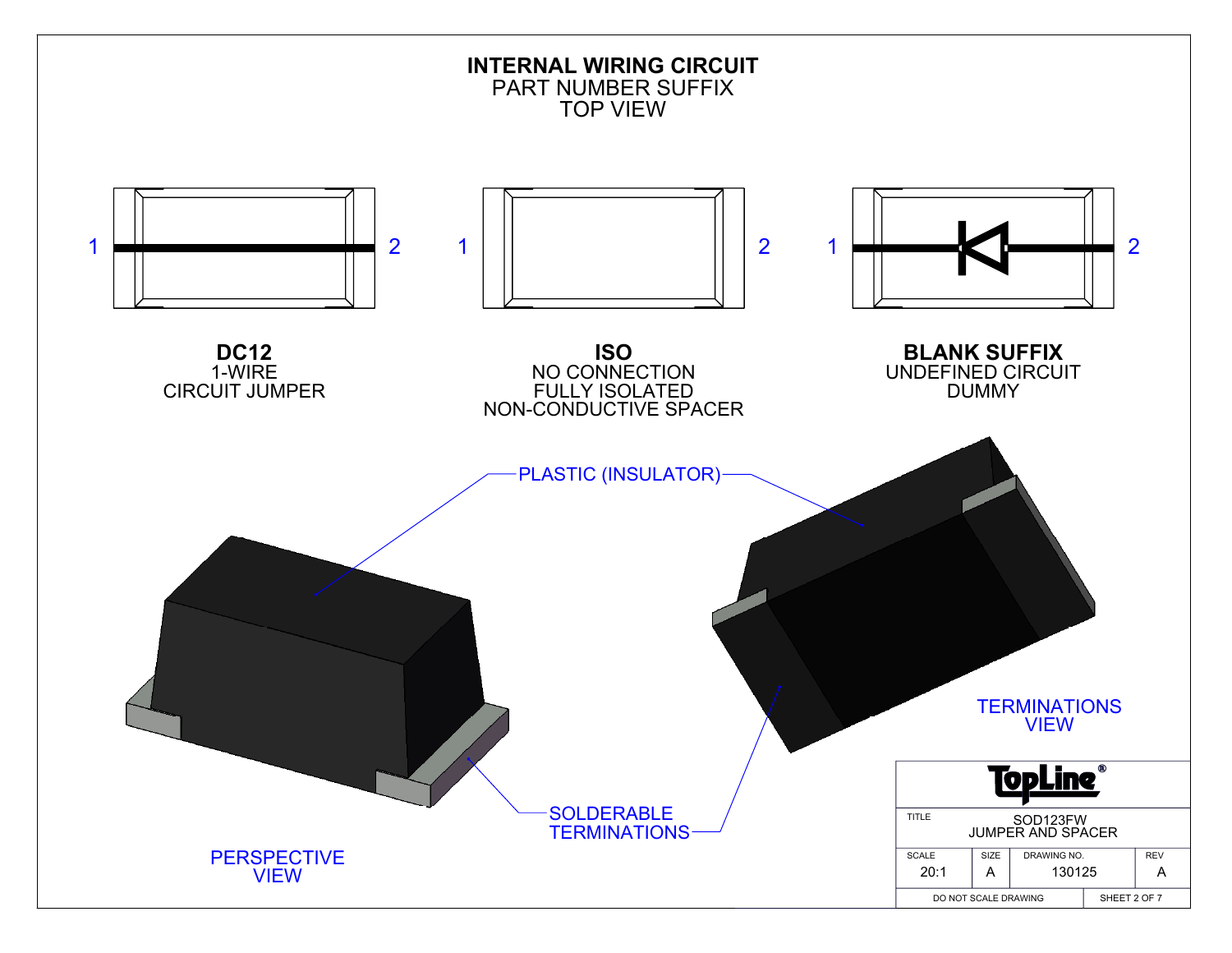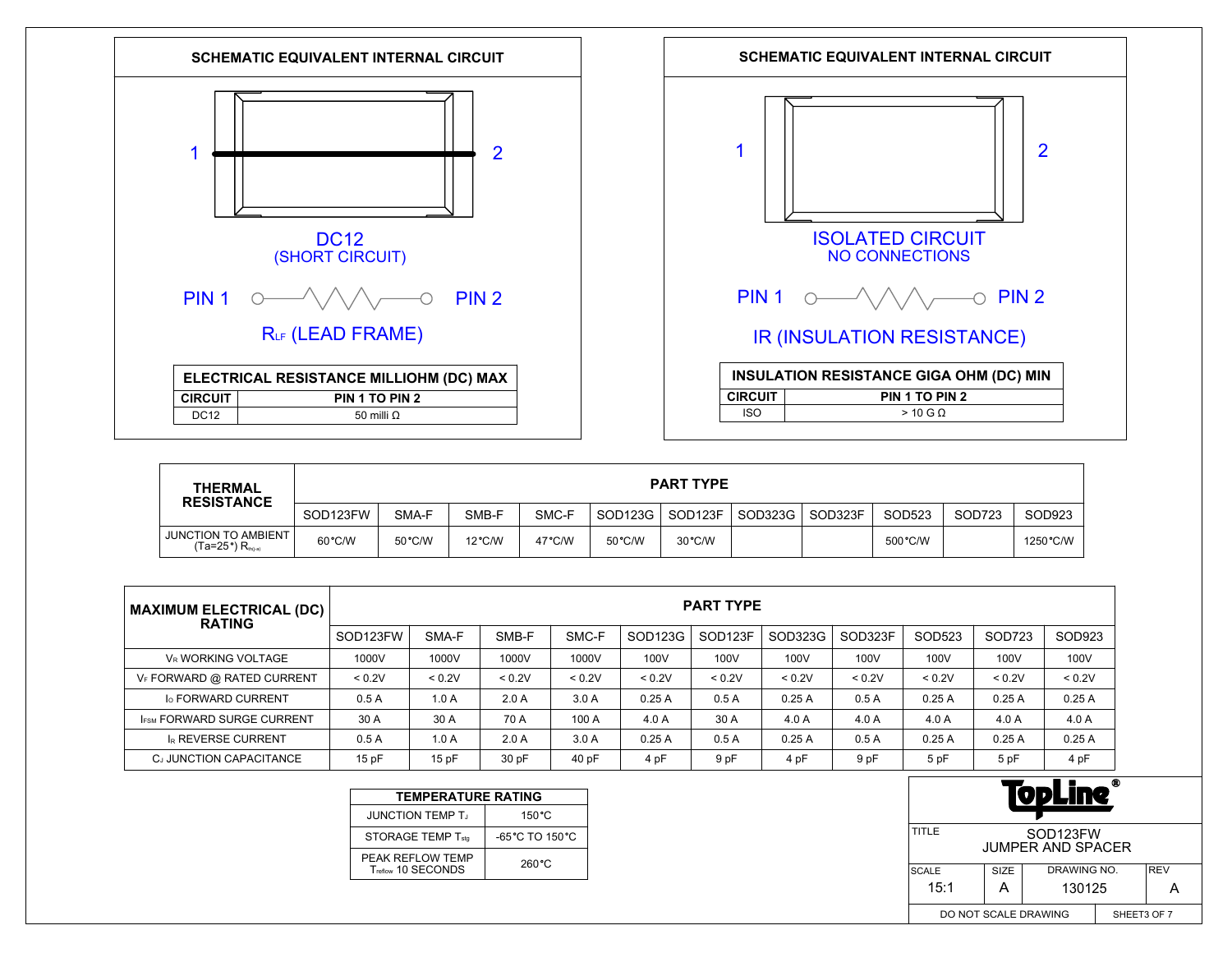



| <b>THERMAL</b><br><b>RESISTANCE</b>                         | <b>PART TYPE</b> |        |                  |        |         |         |         |         |          |        |           |
|-------------------------------------------------------------|------------------|--------|------------------|--------|---------|---------|---------|---------|----------|--------|-----------|
|                                                             | SOD123FW         | SMA-F  | SMB-F            | SMC-F  | SOD123G | SOD123F | SOD323G | SOD323F | SOD523   | SOD723 | SOD923    |
| <b>JUNCTION TO AMBIENT</b><br>(Ta=25°) R <sub>th(i-a)</sub> | 60°C/W           | 50°C/W | $12^{\circ}$ C/W | 47°C/W | 50 °C/W | 30 °C/W |         |         | 500 °C/W |        | 1250 °C/W |

| MAXIMUM ELECTRICAL (DC)  <br><b>RATING</b> | <b>PART TYPE</b> |        |        |        |         |                     |         |         |        |        |        |
|--------------------------------------------|------------------|--------|--------|--------|---------|---------------------|---------|---------|--------|--------|--------|
|                                            | SOD123FW         | SMA-F  | SMB-F  | SMC-F  | SOD123G | SOD <sub>123F</sub> | SOD323G | SOD323F | SOD523 | SOD723 | SOD923 |
| <b>V<sub>R</sub> WORKING VOLTAGE</b>       | 1000V            | 1000V  | 1000V  | 1000V  | 100V    | 100V                | 100V    | 100V    | 100V   | 100V   | 100V   |
| VF FORWARD @ RATED CURRENT                 | < 0.2V           | < 0.2V | < 0.2V | < 0.2V | < 0.2V  | < 0.2V              | < 0.2V  | < 0.2V  | < 0.2V | < 0.2V | < 0.2V |
| <b>Io FORWARD CURRENT</b>                  | 0.5A             | 1.0A   | 2.0A   | 3.0A   | 0.25A   | 0.5A                | 0.25A   | 0.5A    | 0.25A  | 0.25A  | 0.25A  |
| <b>IFSM FORWARD SURGE CURRENT</b>          | 30 A             | 30 A   | 70 A   | 100 A  | 4.0A    | 30 A                | 4.0A    | 4.0 A   | 4.0A   | 4.0A   | 4.0 A  |
| <b>IR REVERSE CURRENT</b>                  | 0.5A             | 1.0A   | 2.0A   | 3.0A   | 0.25A   | 0.5A                | 0.25A   | 0.5A    | 0.25A  | 0.25A  | 0.25A  |
| CJ JUNCTION CAPACITANCE                    | 15pF             | 15pF   | 30 pF  | 40 pF  | 4 pF    | 9 pF                | 4 pF    | 9 pF    | 5 pF   | 5 pF   | 4 pF   |

| <b>TEMPERATURE RATING</b>              |                                     |  |  |  |  |  |  |  |
|----------------------------------------|-------------------------------------|--|--|--|--|--|--|--|
| <b>JUNCTION TEMP T.</b>                | 150 °C                              |  |  |  |  |  |  |  |
| STORAGE TEMP Tstg                      | $-65^{\circ}$ C TO 150 $^{\circ}$ C |  |  |  |  |  |  |  |
| PEAK REFLOW TEMP<br>Treflow 10 SECONDS | $260^{\circ}$ C                     |  |  |  |  |  |  |  |

| Ф<br>UDLIN                                                 |      |             |  |            |  |  |  |
|------------------------------------------------------------|------|-------------|--|------------|--|--|--|
| TITLE<br>SOD <sub>123</sub> FW<br><b>JUMPER AND SPACER</b> |      |             |  |            |  |  |  |
| <b>SCALE</b>                                               | SIZE | DRAWING NO. |  | <b>REV</b> |  |  |  |
| 15:1                                                       | A    | 130125      |  |            |  |  |  |
| DO NOT SCALE DRAWING<br>SHEET3 OF 7                        |      |             |  |            |  |  |  |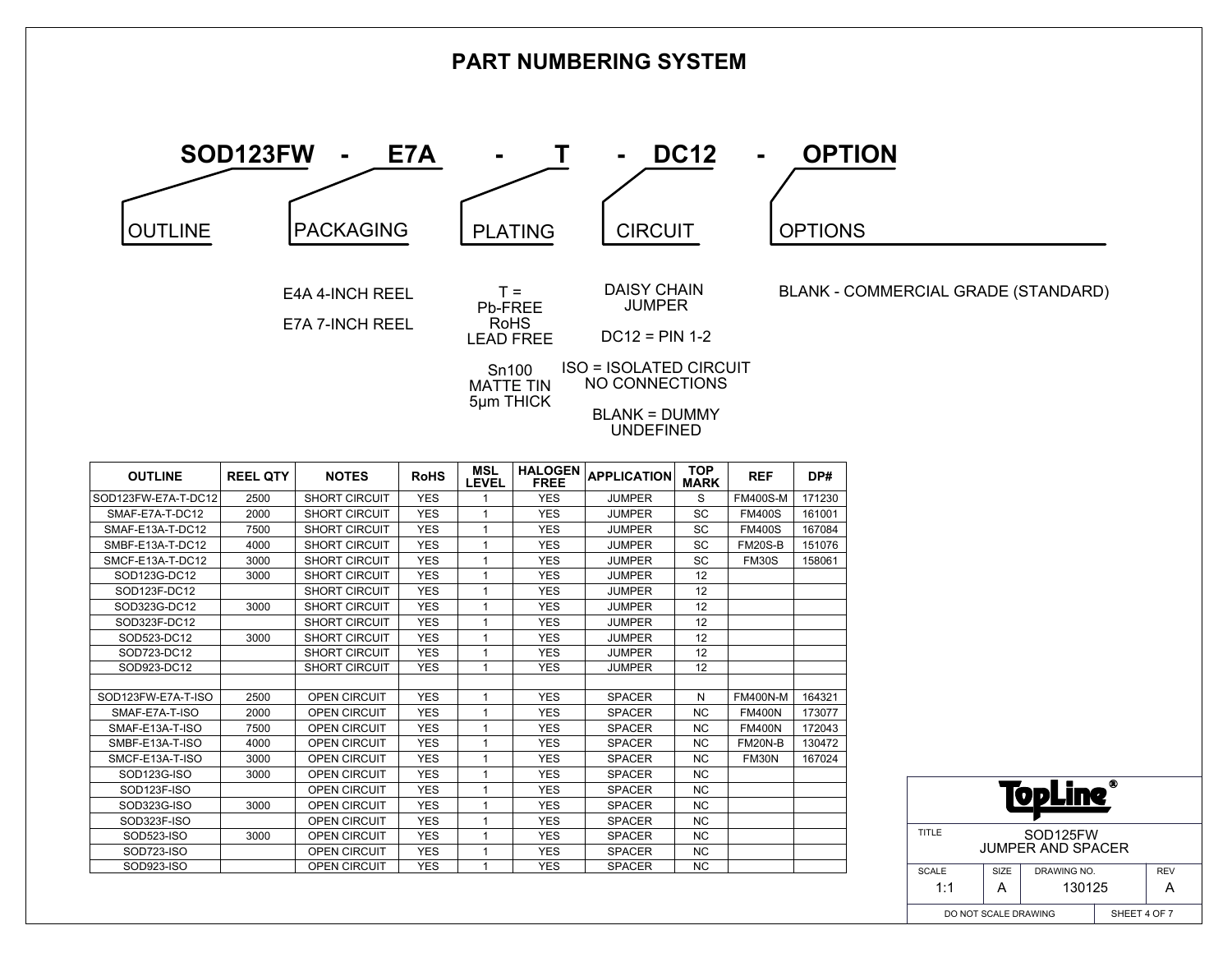

|                    |                     |                      |            | ----           | .          |               |           |                 |        |
|--------------------|---------------------|----------------------|------------|----------------|------------|---------------|-----------|-----------------|--------|
|                    | 2500                | <b>SHORT CIRCUIT</b> | <b>YES</b> |                | <b>YES</b> | <b>JUMPER</b> | S         | <b>FM400S-M</b> | 171230 |
| SMAF-E7A-T-DC12    | 2000                | <b>SHORT CIRCUIT</b> | <b>YES</b> |                | <b>YES</b> | <b>JUMPER</b> | SC        | <b>FM400S</b>   | 161001 |
| SMAF-E13A-T-DC12   | 7500                | <b>SHORT CIRCUIT</b> | <b>YES</b> | 1              | <b>YES</b> | <b>JUMPER</b> | SC        | <b>FM400S</b>   | 167084 |
| SMBF-E13A-T-DC12   | 4000                | <b>SHORT CIRCUIT</b> | <b>YES</b> |                | <b>YES</b> | <b>JUMPER</b> | SC        | <b>FM20S-B</b>  | 151076 |
| SMCF-E13A-T-DC12   | 3000                | <b>SHORT CIRCUIT</b> | <b>YES</b> |                | <b>YES</b> | <b>JUMPER</b> | SC        | <b>FM30S</b>    | 158061 |
| SOD123G-DC12       | 3000                | <b>SHORT CIRCUIT</b> | <b>YES</b> |                | <b>YES</b> | <b>JUMPER</b> | 12        |                 |        |
| SOD123F-DC12       |                     | SHORT CIRCUIT        | <b>YES</b> |                | <b>YES</b> | <b>JUMPER</b> | 12        |                 |        |
| SOD323G-DC12       | 3000                | <b>SHORT CIRCUIT</b> | <b>YES</b> |                | <b>YES</b> | <b>JUMPER</b> | 12        |                 |        |
| SOD323F-DC12       |                     | <b>SHORT CIRCUIT</b> | <b>YES</b> |                | <b>YES</b> | <b>JUMPER</b> | 12        |                 |        |
| SOD523-DC12        | 3000                | <b>SHORT CIRCUIT</b> | <b>YES</b> |                | <b>YES</b> | <b>JUMPER</b> | 12        |                 |        |
| SOD723-DC12        |                     | <b>SHORT CIRCUIT</b> | <b>YES</b> |                | <b>YES</b> | <b>JUMPER</b> | 12        |                 |        |
| SOD923-DC12        |                     | <b>SHORT CIRCUIT</b> | <b>YES</b> | $\overline{ }$ | <b>YES</b> | <b>JUMPER</b> | 12        |                 |        |
|                    |                     |                      |            |                |            |               |           |                 |        |
| SOD123FW-E7A-T-ISO | 2500                | <b>OPEN CIRCUIT</b>  | <b>YES</b> | 1              | <b>YES</b> | <b>SPACER</b> | N         | <b>FM400N-M</b> | 164321 |
| SMAF-E7A-T-ISO     | 2000                | <b>OPEN CIRCUIT</b>  | <b>YES</b> |                | <b>YES</b> | <b>SPACER</b> | <b>NC</b> | <b>FM400N</b>   | 173077 |
| SMAF-E13A-T-ISO    | 7500                | <b>OPEN CIRCUIT</b>  | <b>YES</b> |                | <b>YES</b> | <b>SPACER</b> | <b>NC</b> | <b>FM400N</b>   | 172043 |
| SMBF-E13A-T-ISO    | 4000                | <b>OPEN CIRCUIT</b>  | <b>YES</b> |                | <b>YES</b> | <b>SPACER</b> | <b>NC</b> | <b>FM20N-B</b>  | 130472 |
| SMCF-E13A-T-ISO    | 3000                | <b>OPEN CIRCUIT</b>  | <b>YES</b> |                | <b>YES</b> | <b>SPACER</b> | <b>NC</b> | <b>FM30N</b>    | 167024 |
| SOD123G-ISO        | 3000                | <b>OPEN CIRCUIT</b>  | <b>YES</b> |                | <b>YES</b> | <b>SPACER</b> | <b>NC</b> |                 |        |
| SOD123F-ISO        |                     | <b>OPEN CIRCUIT</b>  | <b>YES</b> |                | <b>YES</b> | <b>SPACER</b> | NC.       |                 |        |
| SOD323G-ISO        | 3000                | <b>OPEN CIRCUIT</b>  | <b>YES</b> |                | <b>YES</b> | <b>SPACER</b> | NC.       |                 |        |
| SOD323F-ISO        |                     | <b>OPEN CIRCUIT</b>  | <b>YES</b> |                | <b>YES</b> | <b>SPACER</b> | NC.       |                 |        |
| SOD523-ISO         | 3000                | <b>OPEN CIRCUIT</b>  | <b>YES</b> | 1              | <b>YES</b> | <b>SPACER</b> | <b>NC</b> |                 |        |
| SOD723-ISO         |                     | <b>OPEN CIRCUIT</b>  | <b>YES</b> |                | <b>YES</b> | <b>SPACER</b> | <b>NC</b> |                 |        |
| SOD923-ISO         |                     | <b>OPEN CIRCUIT</b>  | <b>YES</b> |                | <b>YES</b> | <b>SPACER</b> | <b>NC</b> |                 |        |
|                    | SOD123FW-E7A-T-DC12 |                      |            |                |            |               |           |                 |        |

| ⋒<br>lodlin                                                |      |              |  |            |  |  |  |  |
|------------------------------------------------------------|------|--------------|--|------------|--|--|--|--|
| TITLE<br>SOD <sub>125</sub> FW<br><b>JUMPER AND SPACER</b> |      |              |  |            |  |  |  |  |
| <b>SCALE</b>                                               | SIZE | DRAWING NO.  |  | <b>REV</b> |  |  |  |  |
| 1:1                                                        | А    | 130125       |  |            |  |  |  |  |
| DO NOT SCALE DRAWING                                       |      | SHEET 4 OF 7 |  |            |  |  |  |  |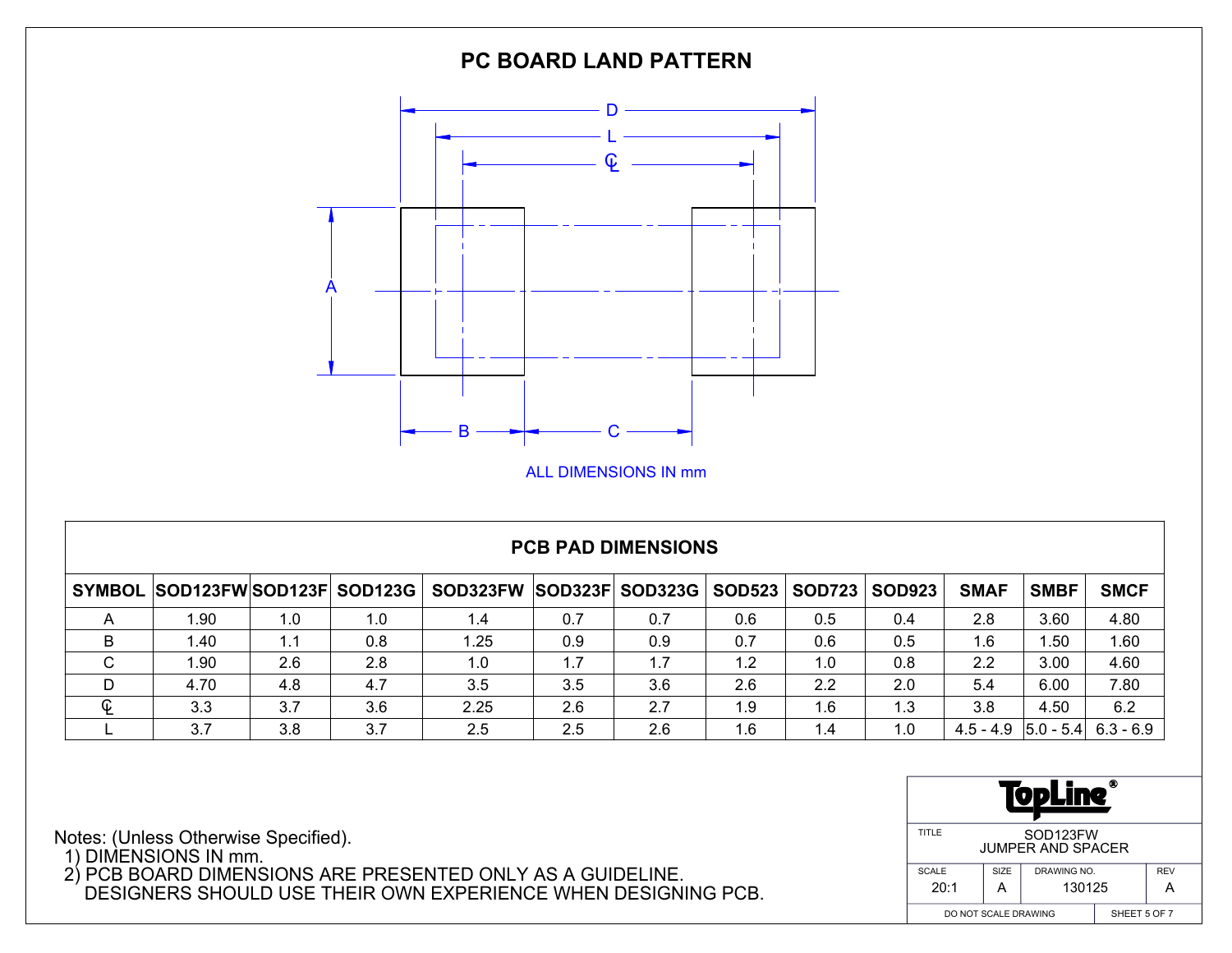

## **PCB PAD DIMENSIONS**

|             | SYMBOL SOD123FWSOD123F SOD123G |     |     | SOD323FW SOD323F SOD323G |     |     | <b>SOD523</b> | <b>SOD723</b> | <b>SOD923</b> | <b>SMAF</b>                         | <b>SMBF</b> | <b>SMCF</b> |
|-------------|--------------------------------|-----|-----|--------------------------|-----|-----|---------------|---------------|---------------|-------------------------------------|-------------|-------------|
|             | 1.90                           | 1.0 | 1.0 | 1.4                      | 0.7 | 0.7 | 0.6           | 0.5           | 0.4           | 2.8                                 | 3.60        | 4.80        |
|             | 1.40                           | 1.1 | 0.8 | i .25                    | 0.9 | 0.9 | 0.7           | 0.6           | 0.5           | 1.6                                 | .50         | 1.60        |
| $\sim$<br>◡ | 1.90                           | 2.6 | 2.8 | 1.0                      | 1.7 | 1.7 | 1.2           | 1.0           | 0.8           | 2.2                                 | 3.00        | 4.60        |
| D           | 4.70                           | 4.8 | 4.7 | 3.5                      | 3.5 | 3.6 | 2.6           | 2.2           | 2.0           | 5.4                                 | 6.00        | 7.80        |
| C           | 3.3                            | 3.7 | 3.6 | 2.25                     | 2.6 | 2.7 | 1.9           | 1.6           | 1.3           | 3.8                                 | 4.50        | 6.2         |
|             | 3.7                            | 3.8 | 3.7 | 2.5                      | 2.5 | 2.6 | 1.6           | 1.4           | 1.0           | $4.5 - 4.9$ $ 5.0 - 5.4 $ 6.3 - 6.9 |             |             |

| ⋒<br>27<br>Q                                               |              |             |  |            |  |  |  |  |
|------------------------------------------------------------|--------------|-------------|--|------------|--|--|--|--|
| TITLE<br>SOD <sub>123</sub> FW<br><b>JUMPER AND SPACER</b> |              |             |  |            |  |  |  |  |
| <b>SCALE</b>                                               | SIZE         | DRAWING NO. |  | <b>REV</b> |  |  |  |  |
| 20:1                                                       | А            | 130125      |  |            |  |  |  |  |
| DO NOT SCALE DRAWING                                       | SHEET 5 OF 7 |             |  |            |  |  |  |  |

Notes: (Unless Otherwise Specified).

1) DIMENSIONS IN mm.

 2) PCB BOARD DIMENSIONS ARE PRESENTED ONLY AS A GUIDELINE. DESIGNERS SHOULD USE THEIR OWN EXPERIENCE WHEN DESIGNING PCB.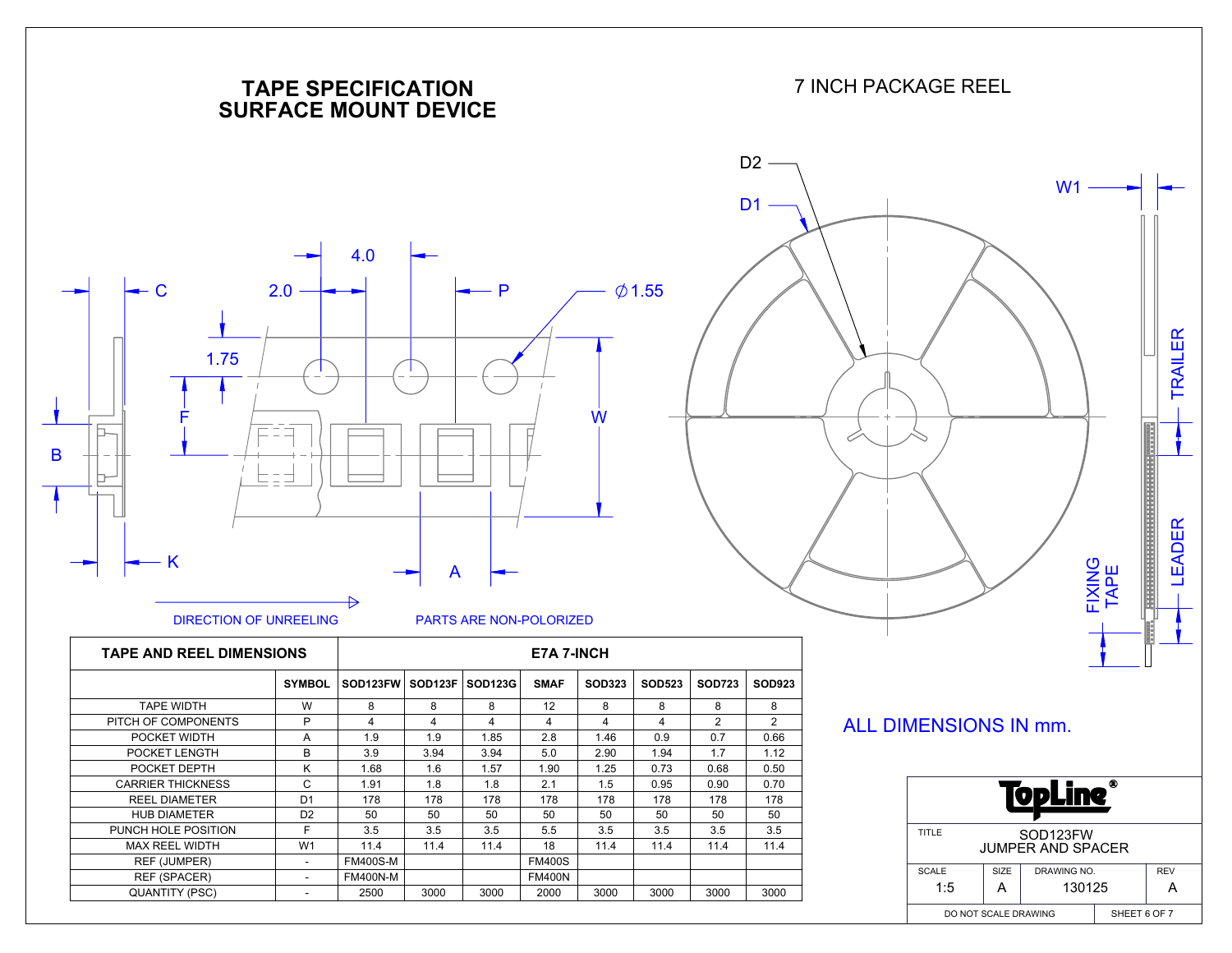